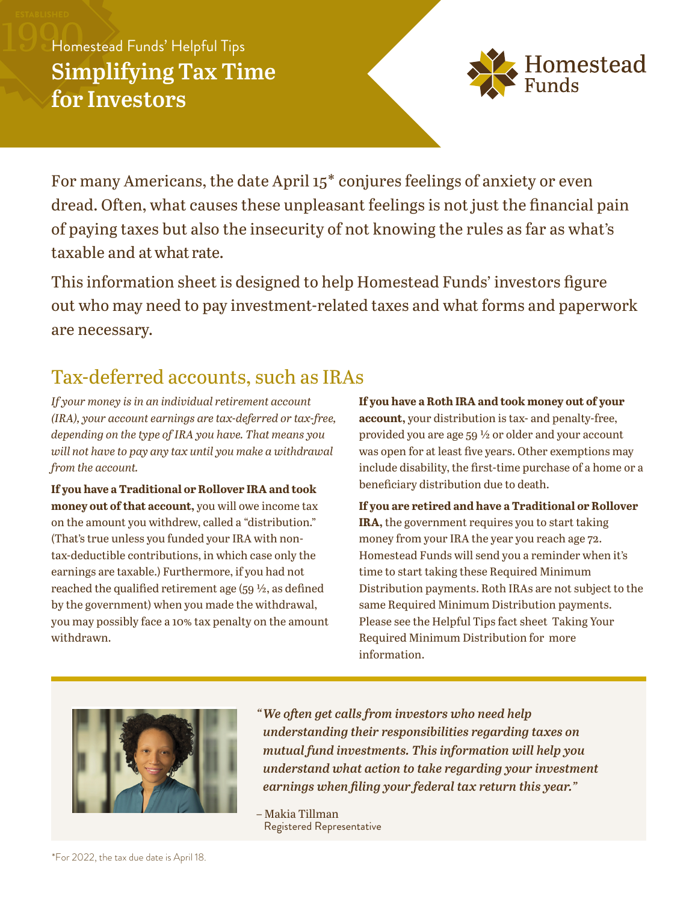# Homestead Funds' Helpful Tips **Simplifying Tax Time**



For many Americans, the date April 15\* conjures feelings of anxiety or even dread. Often, what causes these unpleasant feelings is not just the financial pain of paying taxes but also the insecurity of not knowing the rules as far as what's taxable and atwhat rate.

This information sheet is designed to help Homestead Funds' investors figure out who may need to pay investment-related taxes and what forms and paperwork are necessary.

### Tax-deferred accounts, such as IRAs

*If your money is in an individual retirement account (IRA), your account earnings are tax-deferred or tax-free, depending on the type of IRA you have. That means you will not have to pay any tax until you make a withdrawal from the account.*

**If you have a Traditional or Rollover IRA and took money out of that account,** you will owe income tax on the amount you withdrew, called a "distribution." (That's true unless you funded your IRA with nontax- deductible contributions, in which case only the earnings are taxable.) Furthermore, if you had not reached the qualified retirement age (59 ½, as defined by the government) when you made the withdrawal, you may possibly face a 10% tax penalty on the amount withdrawn.

**If you have a Roth IRA and took money out of your account,** your distribution is tax- and penalty-free, provided you are age 59 ½ or older and your account was open for at least five years. Other exemptions may include disability, the first-time purchase of a home or a beneficiary distribution due to death.

**If you are retired and have a Traditional or Rollover IRA,** the government requires you to start taking money from your IRA the year you reach age 72. Homestead Funds will send you a reminder when it's time to start taking these Required Minimum Distribution payments. Roth IRAs are not subject to the same Required Minimum Distribution payments. Please see the Helpful Tips fact sheet Taking Your Required Minimum Distribution for more information.



*" We often get calls from investors who need help understanding their responsibilities regarding taxes on mutual fund investments. This information will help you understand what action to take regarding your investment earnings when filing your federal tax return this year."*

– Makia Tillman Registered Representative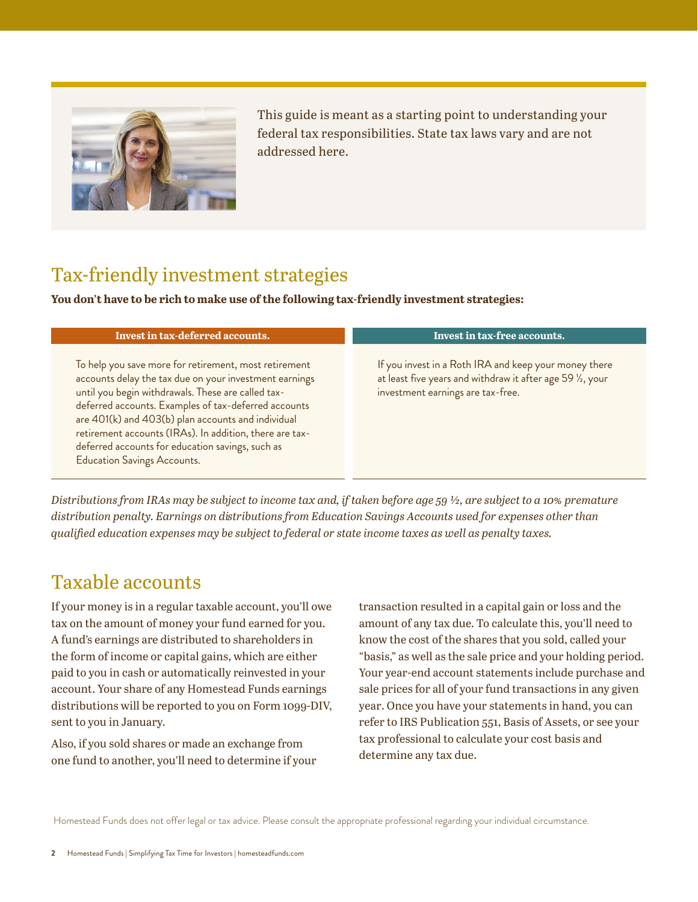

This guide is meant as a starting point to understanding your federal tax responsibilities. State tax laws vary and are not addressed here.

### Tax-friendly investment strategies

**You don't have to be rich to make use of the following tax-friendly investment strategies:** 

| Invest in tax-deferred accounts.                                                                                                                                                                                                                                                                                                                                                                                                         | Invest in tax-free accounts.                                                                                                                             |
|------------------------------------------------------------------------------------------------------------------------------------------------------------------------------------------------------------------------------------------------------------------------------------------------------------------------------------------------------------------------------------------------------------------------------------------|----------------------------------------------------------------------------------------------------------------------------------------------------------|
| To help you save more for retirement, most retirement<br>accounts delay the tax due on your investment earnings<br>until you begin withdrawals. These are called tax-<br>deferred accounts. Examples of tax-deferred accounts<br>are 401(k) and 403(b) plan accounts and individual<br>retirement accounts (IRAs). In addition, there are tax-<br>deferred accounts for education savings, such as<br><b>Education Savings Accounts.</b> | If you invest in a Roth IRA and keep your money there<br>at least five years and withdraw it after age 59 1/2, your<br>investment earnings are tax-free. |

*Distributions from IRAs may be subject to income tax and, if taken before age 59 ½, are subject to a 10% premature distribution penalty. Earnings on distributions from Education Savings Accounts used for expenses other than qualified education expenses may be subject to federal or state income taxes as well as penalty taxes.* 

### Taxable accounts

If your money is in a regular taxable account, you'll owe tax on the amount of money your fund earned for you. A fund's earnings are distributed to shareholders in the form of income or capital gains, which are either paid to you in cash or automatically reinvested in your account. Your share of any Homestead Funds earnings distributions will be reported to you on Form 1099-DIV, sent to you in January.

Also, if you sold shares or made an exchange from one fund to another, you'll need to determine if your transaction resulted in a capital gain or loss and the amount of any tax due. To calculate this, you'll need to know the cost of the shares that you sold, called your "basis," as well as the sale price and your holding period. Your year-end account statements include purchase and sale prices for all of your fund transactions in any given year. Once you have your statements in hand, you can refer to IRS Publication 551, Basis of Assets, or see your tax professional to calculate your cost basis and determine any tax due.

Homestead Funds does not offer legal or tax advice. Please consult the appropriate professional regarding your individual circumstance.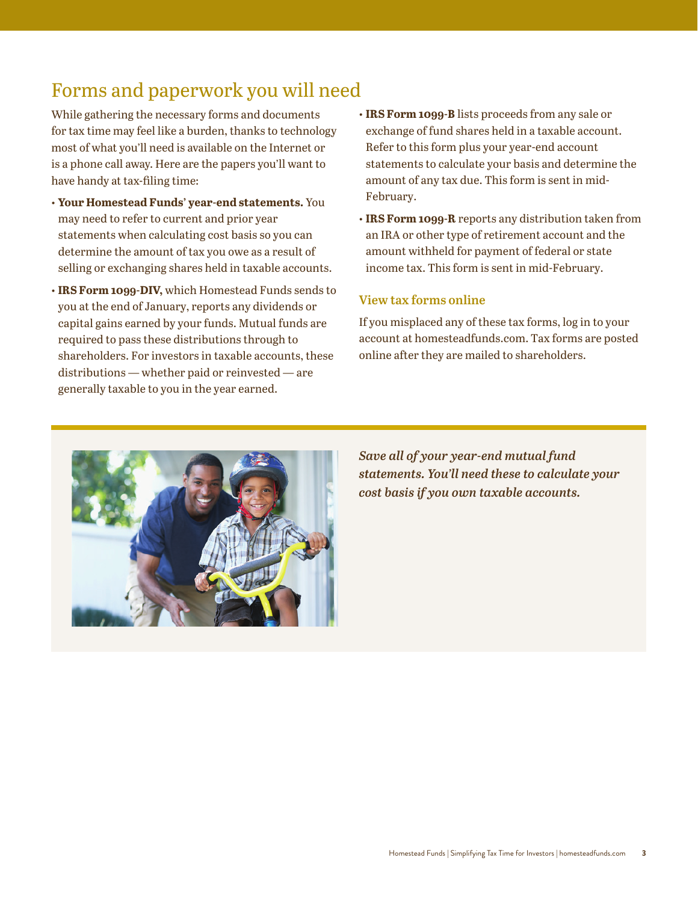## Forms and paperwork you will need

While gathering the necessary forms and documents for tax time may feel like a burden, thanks to technology most of what you'll need is available on the Internet or is a phone call away. Here are the papers you'll want to have handy at tax-filing time:

- **Your Homestead Funds' year-end statements.** You may need to refer to current and prior year statements when calculating cost basis so you can determine the amount of tax you owe as a result of selling or exchanging shares held in taxable accounts.
- **IRS Form 1099-DIV,** which Homestead Funds sends to you at the end of January, reports any dividends or capital gains earned by your funds. Mutual funds are required to pass these distributions through to shareholders. For investors in taxable accounts, these distributions — whether paid or reinvested — are generally taxable to you in the year earned.
- **IRS Form 1099-B** lists proceeds from any sale or exchange of fund shares held in a taxable account. Refer to this form plus your year-end account statements to calculate your basis and determine the amount of any tax due. This form is sent in mid-February.
- **IRS Form 1099-R** reports any distribution taken from an IRA or other type of retirement account and the amount withheld for payment of federal or state income tax. This form is sent in mid-February.

#### View tax forms online

If you misplaced any of these tax forms, log in to your account at homesteadfunds.com. Tax forms are posted online after they are mailed to shareholders.



*Save all of your year-end mutual fund statements. You'll need these to calculate your cost basis if you own taxable accounts.*